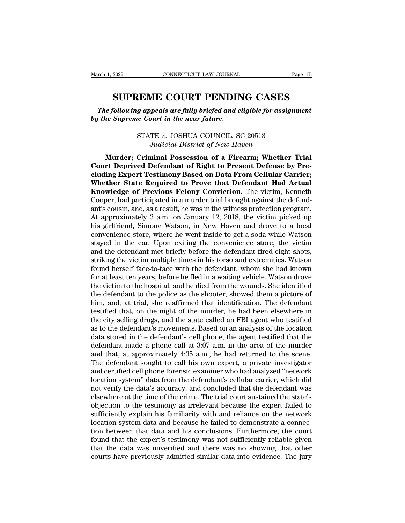ESTABLE COURT PENDING CASES<br> **SUPREME COURT PENDING CASES**<br> **SUPREME COURT PENDING CASES**<br> **Supreme Court in the near future.** *The following appeals are fully briefed and eligible for assignment*<br>*The following appeals are fully briefed and eligible for assignment*<br>*The Supreme Court in the near future. by the SUPREME COURT PENDIN*<br>*by the Supreme Court in the near future.*<br>*by the Supreme Court in the near future.*<br>*by the Supreme Court in the near future.* **EME COURT PENDING CASES**<br>*g* appeals are fully briefed and eligible for assignn<br>ie Court in the near future.<br>STATE v. JOSHUA COUNCIL, SC 20513<br>Judicial District of New Haven **SUPREME COURT PENDING CASES**<br>*The following appeals are fully briefed and eligible for assignment*<br>*by the Supreme Court in the near future.*<br>*STATE v. JOSHUA COUNCIL, SC 20513*<br>*Judicial District of New Haven*<br>**Murder**;

*Murder; Criminal are fully briefed and eligible for assignment*<br>*Murder; Court in the near future.*<br>STATE v. JOSHUA COUNCIL, SC 20513<br>*Judicial District of New Haven*<br>**Murder; Criminal Possession of a Firearm; Whether Tri** Ine Jououng appeas are *Juay origed and englote for assignment*<br>by the Supreme Court in the near future.<br>STATE v. JOSHUA COUNCIL, SC 20513<br>Judicial District of New Haven<br>**Murder**; Criminal Possession of a Firearm; Whether **compressed on Data From Cellular Carriers**<br> **compress**<br> **cluding Expert Testimony Based on Data From Cellular Carrier;**<br> **court Deprived Defendant of Right to Present Defense by Pre-<br>
cluding Expert Testimony Based on Dat STATE v. JOSHUA COUNCIL, SC 20513**<br>*Judicial District of New Haven*<br>**Murder; Criminal Possession of a Firearm; Whether Trial**<br>**Court Deprived Defendant of Right to Present Defense by Pre-<br>cluding Expert Testimony Based on Knowledge of Previous Felony Conviction**, Section **Knowledge of Preminal Possession of a Firearm; Whether Trial Court Deprived Defendant of Right to Present Defense by Precluding Expert Testimony Based on Data From Cellul** Sautetia District of New Haten<br>
Murder; Criminal Possession of a Firearm; Whether Trial<br>
Court Deprived Defendant of Right to Present Defense by Pre-<br>
cluding Expert Testimony Based on Data From Cellular Carrier;<br>
Whether Murder; Criminal Possession of a Firearm; Whether Trial<br>Court Deprived Defendant of Right to Present Defense by Pre-<br>cluding Expert Testimony Based on Data From Cellular Carrier;<br>Whether State Required to Prove that Defend Court Deprived Defendant of Right to Present Defense by Pre-<br>cluding Expert Testimony Based on Data From Cellular Carrier;<br>Whether State Required to Prove that Defendant Had Actual<br>Knowledge of Previous Felony Conviction. cluding Expert Testimony Based on Data From Cellular Carrier;<br>Whether State Required to Prove that Defendant Had Actual<br>Knowledge of Previous Felony Conviction. The victim, Kenneth<br>Cooper, had participated in a murder tria Whether State Required to Prove that Defendant Had Actual<br>Knowledge of Previous Felony Conviction. The victim, Kenneth<br>Cooper, had participated in a murder trial brought against the defend-<br>ant's cousin, and, as a result, **Knowledge of Previous Felony Conviction.** The victim, Kenneth Cooper, had participated in a murder trial brought against the defendant's cousin, and, as a result, he was in the witness protection program. At approximately Cooper, had participated in a murder trial brought against the defendant's cousin, and, as a result, he was in the witness protection program.<br>At approximately 3 a.m. on January 12, 2018, the victim picked up his girlfrien ant's cousin, and, as a result, he was in the witness protection program.<br>At approximately 3 a.m. on January 12, 2018, the victim picked up<br>his girlfriend, Simone Watson, in New Haven and drove to a local<br>convenience store At approximately 3 a.m. on January 12, 2018, the victim picked up<br>his girlfriend, Simone Watson, in New Haven and drove to a local<br>convenience store, where he went inside to get a soda while Watson<br>stayed in the car. Upon his girlfriend, Simone Watson, in New Haven and drove to a local convenience store, where he went inside to get a soda while Watson stayed in the car. Upon exiting the convenience store, the victim and the defendant met br convenience store, where he went inside to get a soda while Watson<br>stayed in the car. Upon exiting the convenience store, the victim<br>and the defendant met briefly before the defendant fired eight shots,<br>striking the victim stayed in the car. Upon exiting the convenience store, the victim<br>and the defendant met briefly before the defendant fired eight shots,<br>striking the victim multiple times in his torso and extremities. Watson<br>found herself and the defendant met briefly before the defendant fired eight shots,<br>striking the victim multiple times in his torso and extremities. Watson<br>found herself face-to-face with the defendant, whom she had known<br>for at least t striking the victim multiple times in his torso and extremities. Watson<br>found herself face-to-face with the defendant, whom she had known<br>for at least ten years, before he fled in a waiting vehicle. Watson drove<br>the victim found herself face-to-face with the defendant, whom she had known<br>for at least ten years, before he fled in a waiting vehicle. Watson drove<br>the victim to the hospital, and he died from the wounds. She identified<br>the defend for at least ten years, before he fled in a waiting vehicle. Watson drove<br>the victim to the hospital, and he died from the wounds. She identified<br>the defendant to the police as the shooter, showed them a picture of<br>him, a the victim to the hospital, and he died from the wounds. She identified<br>the defendant to the police as the shooter, showed them a picture of<br>him, and, at trial, she reaffirmed that identification. The defendant<br>testified the defendant to the police as the shooter, showed them a picture of<br>him, and, at trial, she reaffirmed that identification. The defendant<br>testified that, on the night of the murder, he had been elsewhere in<br>the city selli him, and, at trial, she reaffirmed that identification. The defendant testified that, on the night of the murder, he had been elsewhere in the city selling drugs, and the state called an FBI agent who testified as to the d testified that, on the night of the murder, he had been elsewhere in<br>the city selling drugs, and the state called an FBI agent who testified<br>as to the defendant's movements. Based on an analysis of the location<br>data stored the city selling drugs, and the state called an FBI agent who testified<br>as to the defendant's movements. Based on an analysis of the location<br>data stored in the defendant's cell phone, the agent testified that the<br>defendan as to the defendant's movements. Based on an analysis of the location<br>data stored in the defendant's cell phone, the agent testified that the<br>defendant made a phone call at 3:07 a.m. in the area of the murder<br>and that, at data stored in the defendant's cell phone, the agent testified that the defendant made a phone call at 3:07 a.m. in the area of the murder and that, at approximately 4:35 a.m., he had returned to the scene. The defendant s defendant made a phone call at 3:07 a.m. in the area of the murder<br>and that, at approximately 4:35 a.m., he had returned to the scene.<br>The defendant sought to call his own expert, a private investigator<br>and certified cell and that, at approximately 4:35 a.m., he had returned to the scene.<br>The defendant sought to call his own expert, a private investigator<br>and certified cell phone forensic examiner who had analyzed "network<br>location system" The defendant sought to call his own expert, a private investigator<br>and certified cell phone forensic examiner who had analyzed "network<br>location system" data from the defendant's cellular carrier, which did<br>not verify the and certified cell phone forensic examiner who had analyzed "network location system" data from the defendant's cellular carrier, which did not verify the data's accuracy, and concluded that the defendant was elsewhere at location system" data from the defendant's cellular carrier, which did<br>not verify the data's accuracy, and concluded that the defendant was<br>elsewhere at the time of the crime. The trial court sustained the state's<br>objectio not verify the data's accuracy, and concluded that the defendant was<br>elsewhere at the time of the crime. The trial court sustained the state's<br>objection to the testimony as irrelevant because the expert failed to<br>sufficien elsewhere at the time of the crime. The trial court sustained the state's<br>objection to the testimony as irrelevant because the expert failed to<br>sufficiently explain his familiarity with and reliance on the network<br>location objection to the testimony as irrelevant because the expert failed to sufficiently explain his familiarity with and reliance on the network location system data and because he failed to demonstrate a connection between tha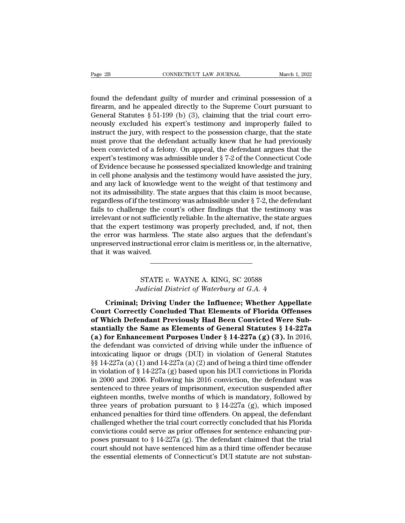Fage 2B CONNECTICUT LAW JOURNAL March 1, 2022<br>found the defendant guilty of murder and criminal possession of a<br>firearm, and he appealed directly to the Supreme Court pursuant to<br>General Statutes 8.51.100 (b) (3) claiming Fage 2B<br>
connectricut LAW JOURNAL<br>
found the defendant guilty of murder and criminal possession of a<br>
firearm, and he appealed directly to the Supreme Court pursuant to<br>
General Statutes § 51-199 (b) (3), claiming that the Page 2B<br>
CONNECTICUT LAW JOURNAL<br>
Gound the defendant guilty of murder and criminal possession of a<br>
firearm, and he appealed directly to the Supreme Court pursuant to<br>
General Statutes § 51-199 (b) (3), claiming that the Page 2B<br>
connectricut LAW JOURNAL<br>
found the defendant guilty of murder and criminal possession of a<br>
firearm, and he appealed directly to the Supreme Court pursuant to<br>
General Statutes § 51-199 (b) (3), claiming that th found the defendant guilty of murder and criminal possession of a firearm, and he appealed directly to the Supreme Court pursuant to General Statutes § 51-199 (b) (3), claiming that the trial court erro-<br>neously excluded h found the defendant guilty of murder and criminal possession of a<br>firearm, and he appealed directly to the Supreme Court pursuant to<br>General Statutes § 51-199 (b) (3), claiming that the trial court erro-<br>neously excluded found the defendant guilty of murder and criminal possession of a<br>firearm, and he appealed directly to the Supreme Court pursuant to<br>General Statutes § 51-199 (b) (3), claiming that the trial court erro-<br>neously excluded firearm, and he appealed directly to the Supreme Court pursuant to<br>General Statutes  $\S$  51-199 (b) (3), claiming that the trial court erro-<br>neously excluded his expert's testimony and improperly failed to<br>instruct the jur General Statutes § 51-199 (b) (3), claiming that the trial court erro-<br>neously excluded his expert's testimony and improperly failed to<br>instruct the jury, with respect to the possession charge, that the state<br>must prove t neously excluded his expert's testimony and improperly failed to<br>instruct the jury, with respect to the possession charge, that the state<br>must prove that the defendant actually knew that he had previously<br>been convicted of instruct the jury, with respect to the possession charge, that the state<br>must prove that the defendant actually knew that he had previously<br>been convicted of a felony. On appeal, the defendant argues that the<br>expert's tes must prove that the defendant actually knew that he had previously<br>been convicted of a felony. On appeal, the defendant argues that the<br>expert's testimony was admissible under § 7-2 of the Connecticut Code<br>of Evidence beca been convicted of a felony. On appeal, the defendant argues that the expert's testimony was admissible under § 7-2 of the Connecticut Code of Evidence because he possessed specialized knowledge and training in cell phone a expert's testimony was admissible under § 7-2 of the Connecticut Code<br>of Evidence because he possessed specialized knowledge and training<br>in cell phone analysis and the testimony would have assisted the jury,<br>and any lack of Evidence because he possessed specialized knowledge and training<br>in cell phone analysis and the testimony would have assisted the jury,<br>and any lack of knowledge went to the weight of that testimony and<br>not its admissib in cell phone analysis and the testimony would have assisted the jury,<br>and any lack of knowledge went to the weight of that testimony and<br>not its admissibility. The state argues that this claim is moot because,<br>regardless and any lack of knowledge went to the weight of that testimony and<br>not its admissibility. The state argues that this claim is moot because,<br>regardless of if the testimony was admissible under § 7-2, the defendant<br>fails to not its admissibility. The state argues that this claim is moot because, regardless of if the testimony was admissible under § 7-2, the defendant fails to challenge the court's other findings that the testimony was irrelev regardless of if the testim<br>fails to challenge the correlevant or not sufficier<br>that the expert testimor<br>the error was harmless<br>unpreserved instructions<br>that it was waived. testimony was properly precluded, and, if not,<br>narmless. The state also argues that the defence<br>tructional error claim is meritless or, in the altern<br>ved.<br>STATE v. WAYNE A. KING, SC 20588<br>*udicial District of Waterbury at Judicial error claim is meritless or, in the alternatived.*<br>*Judicial District of Waterbury at G.A. 4*<br>*Judicial District of Waterbury at G.A. 4***<br><b>***Judicial District of Waterbury at G.A. 4* 

it was waived.<br> **CRIMITE 1989 1989 1989 1989 1989 1989 11:**<br>
Triminal; Driving Under the Influence; Whether Appellate<br>
The Correctly Concluded That Elements of Florida Offenses<br>
Thick Defendent Previously Hed Been Convicte STATE v. WAYNE A. KING, SC 20588<br>
Judicial District of Waterbury at G.A. 4<br> **Criminal; Driving Under the Influence; Whether Appellate**<br> **Court Correctly Concluded That Elements of Florida Offenses**<br>
of Which Defendant Prev **STATE v. WAYNE A. KING, SC 20588**<br>*Judicial District of Waterbury at G.A. 4*<br>**Criminal; Driving Under the Influence; Whether Appellate**<br>**Court Correctly Concluded That Elements of Florida Offenses**<br>of Which Defendant Prev STATE v. WAYNE A. KING, SC 20588<br>
Judicial District of Waterbury at G.A. 4<br> **Criminal; Driving Under the Influence; Whether Appellate**<br> **Court Correctly Concluded That Elements of Florida Offenses**<br> **of Which Defendant Pre** Judicial District of Waterbury at G.A. 4<br>Criminal; Driving Under the Influence; Whether Appellate<br>Court Correctly Concluded That Elements of Florida Offenses<br>of Which Defendant Previously Had Been Convicted Were Sub-<br>stant **Criminal; Driving Under the Influence; Whether Appellate**<br>Court Correctly Concluded That Elements of Florida Offenses<br>of Which Defendant Previously Had Been Convicted Were Sub-<br>stantially the Same as Elements of General **Criminal; Driving Under the Influence; Whether Appellate**<br>Court Correctly Concluded That Elements of Florida Offenses<br>of Which Defendant Previously Had Been Convicted Were Sub-<br>stantially the Same as Elements of General **Court Correctly Concluded That Elements of Florida Offenses**<br> **of Which Defendant Previously Had Been Convicted Were Sub-**<br> **stantially the Same as Elements of General Statutes** § 14-227a<br> **(a) for Enhancement Purposes U** of Which Defendant Previously Had Been Convicted Were Substantially the Same as Elements of General Statutes  $\S 14-227a$ <br>
(a) for Enhancement Purposes Under  $\S 14-227a$  (g) (3). In 2016,<br>
the defendant was convicted of dr **stantially the Same as Elements of General Statutes § 14-227a** (a) for Enhancement Purposes Under § 14-227a (g) (3). In 2016, the defendant was convicted of driving while under the influence of intoxicating liquor or dru (a) for Enhancement Purposes Under § 14-227a (g) (3). In 2016,<br>the defendant was convicted of driving while under the influence of<br>intoxicating liquor or drugs (DUI) in violation of General Statutes<br>§§ 14-227a (a) (1) and the defendant was convicted of driving while under the influence of<br>intoxicating liquor or drugs (DUI) in violation of General Statutes<br> $\S\S 14-227a$  (a) (1) and  $14-227a$  (a) (2) and of being a third time offender<br>in viol intoxicating liquor or drugs (DUI) in violation of General Statutes  $\S$ § 14-227a (a) (1) and 14-227a (a) (2) and of being a third time offender in violation of § 14-227a (g) based upon his DUI convictions in Florida in 20 §§ 14-227a (a) (1) and 14-227a (a) (2) and of being a third time offender<br>in violation of § 14-227a (g) based upon his DUI convictions in Florida<br>in 2000 and 2006. Following his 2016 conviction, the defendant was<br>sentence in violation of § 14-227a (g) based upon his DUI convictions in Florida<br>in 2000 and 2006. Following his 2016 conviction, the defendant was<br>sentenced to three years of imprisonment, execution suspended after<br>eighteen month in 2000 and 2006. Following his 2016 conviction, the defendant was sentenced to three years of imprisonment, execution suspended after eighteen months, twelve months of which is mandatory, followed by three years of proba sentenced to three years of imprisonment, execution suspended after eighteen months, twelve months of which is mandatory, followed by three years of probation pursuant to  $\S 14-227a$  (g), which imposed enhanced penalties eighteen months, twelve months of which is mandatory, followed by<br>three years of probation pursuant to  $\S 14-227a$  (g), which imposed<br>enhanced penalties for third time offenders. On appeal, the defendant<br>challenged whethe three years of probation pursuant to  $\S$  14-227a (g), which imposed<br>enhanced penalties for third time offenders. On appeal, the defendant<br>challenged whether the trial court correctly concluded that his Florida<br>convictions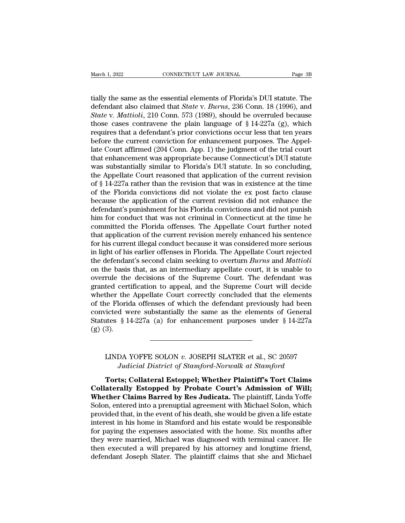March 1, 2022<br>
CONNECTICUT LAW JOURNAL<br>
tially the same as the essential elements of Florida's DUI statute. The<br>
defendant also claimed that *State v. Burns*, 236 Conn. 18 (1996), and<br>
State v. Mattioli, 210 Conn. 573 (198 March 1, 2022<br> **EXECUTE CONNECTICUT LAW JOURNAL**<br>
CONNECTICUT LAW JOURNAL<br>
The defendant also claimed that *State* v. *Burns*, 236 Conn. 18 (1996), and<br> *State* v. *Mattioli*, 210 Conn. 573 (1989), should be overruled beca *State v. Battion State v. Burns, 236 Conn.* 18 (1996), and *State v. Mattioli*, 210 Conn. 573 (1989), should be overruled because those cases contravene the plain language of § 14-227a (g), which requires that a defenda March 1, 2022 CONNECTICUT LAW JOURNAL Page 3B<br>
tially the same as the essential elements of Florida's DUI statute. The<br>
defendant also claimed that *State* v. *Burns*, 236 Conn. 18 (1996), and<br> *State* v. *Mattioli*, 210 C tially the same as the essential elements of Florida's DUI statute. The defendant also claimed that *State* v. *Burns*, 236 Conn. 18 (1996), and *State* v. *Mattioli*, 210 Conn. 573 (1989), should be overruled because tho tially the same as the essential elements of Florida's DUI statute. The defendant also claimed that *State* v. *Burns*, 236 Conn. 18 (1996), and *State* v. *Mattioli*, 210 Conn. 573 (1989), should be overruled because tho tially the same as the essential elements of Florida's DUI statute. The<br>defendant also claimed that *State* v. *Burns*, 236 Conn. 18 (1996), and<br>*State* v. *Mattioli*, 210 Conn. 573 (1989), should be overruled because<br>tho defendant also claimed that *State* v. *Burns*, 236 Conn. 18 (1996), and *State* v. *Mattioli*, 210 Conn. 573 (1989), should be overruled because those cases contravene the plain language of § 14-227a (g), which requires t State v. Mattioli, 210 Conn. 573 (1989), should be overruled because<br>those cases contravene the plain language of § 14-227a (g), which<br>requires that a defendant's prior convictions occur less that ten years<br>before the cur those cases contravene the plain language of  $\S$  14-227a (g), which<br>requires that a defendant's prior convictions occur less that ten years<br>before the current conviction for enhancement purposes. The Appel-<br>late Court aff requires that a defendant's prior convictions occur less that ten years<br>before the current conviction for enhancement purposes. The Appel-<br>late Court affirmed (204 Conn. App. 1) the judgment of the trial court<br>that enhance before the current conviction for enhancement purposes. The Appellate Court affirmed (204 Conn. App. 1) the judgment of the trial court that enhancement was appropriate because Connecticut's DUI statute was substantially s late Court affirmed (204 Conn. App. 1) the judgment of the trial court<br>that enhancement was appropriate because Connecticut's DUI statute<br>was substantially similar to Florida's DUI statute. In so concluding,<br>the Appellate that enhancement was appropriate because Connecticut's DUI statute<br>was substantially similar to Florida's DUI statute. In so concluding,<br>the Appellate Court reasoned that application of the current revision<br>of § 14-227a ra was substantially similar to Florida's DUI statute. In so concluding,<br>the Appellate Court reasoned that application of the current revision<br>of § 14-227a rather than the revision that was in existence at the time<br>of the Flo the Appellate Court reasoned that application of the current revision<br>of § 14-227a rather than the revision that was in existence at the time<br>of the Florida convictions did not violate the ex post facto clause<br>because the of § 14-227a rather than the revision that was in existence at the time<br>of the Florida convictions did not violate the ex post facto clause<br>because the application of the current revision did not enhance the<br>defendant's pu of the Florida convictions did not violate the ex post facto clause<br>because the application of the current revision did not enhance the<br>defendant's punishment for his Florida convictions and did not punish<br>him for conduct because the application of the current revision did not enhance the defendant's punishment for his Florida convictions and did not punish him for conduct that was not criminal in Connecticut at the time he committed the Fl defendant's punishment for his Florida convictions and did not punish<br>him for conduct that was not criminal in Connecticut at the time he<br>committed the Florida offenses. The Appellate Court further noted<br>that application o him for conduct that was not criminal in Connecticut at the time he committed the Florida offenses. The Appellate Court further noted that application of the current revision merely enhanced his sentence for his current il committed the Florida offenses. The Appellate Court further noted<br>that application of the current revision merely enhanced his sentence<br>for his current illegal conduct because it was considered more serious<br>in light of his that application of the current revision merely enhanced his sentence<br>for his current illegal conduct because it was considered more serious<br>in light of his earlier offenses in Florida. The Appellate Court rejected<br>the def for his current illegal conduct because it was considered more serious<br>in light of his earlier offenses in Florida. The Appellate Court rejected<br>the defendant's second claim seeking to overturn *Burns* and *Mattioli*<br>on th in light of his earlier offenses in Florida. The Appellate Court rejected<br>the defendant's second claim seeking to overturn *Burns* and *Mattioli*<br>on the basis that, as an intermediary appellate court, it is unable to<br>over the defendant's second claim seeking to overturn *Burns* and *Mattioli* on the basis that, as an intermediary appellate court, it is unable to overrule the decisions of the Supreme Court. The defendant was granted certifi on the basis that, as an intermediary appellate court, it is unable to overrule the decisions of the Supreme Court. The defendant was granted certification to appeal, and the Supreme Court will decide whether the Appellat overrule the<br>granted cert<br>whether the<br>of the Floric<br>convicted w<br>Statutes § 1<br>(g) (3). ice Florida offenses of which the defendant previously had been<br>icted were substantially the same as the elements of General<br>ites § 14-227a (a) for enhancement purposes under § 14-227a<br>3).<br>LINDA YOFFE SOLON *v.* JOSEPH SLA *d* were substantially the same as the elements of General  $\S$  14-227a (a) for enhancement purposes under  $\S$  14-227a<br>
DA YOFFE SOLON *v*. JOSEPH SLATER et al., SC 20597<br>
Judicial District of Stamford-Norwalk at Stamford<br>

3).<br> **Torths: Torths: Torts: Collateral Estoppel; Whether Plaintiff's Tort Claims**<br> **Torts; Collateral Estoppel; Whether Plaintiff's Tort Claims<br>
aterally Estopped by Probate Court's Admission of Will;<br>
ther Claims Barred** LINDA YOFFE SOLON *v.* JOSEPH SLATER et al., SC 20597<br> *Judicial District of Stamford-Norwalk at Stamford*<br> **Torts; Collateral Estoppel; Whether Plaintiff's Tort Claims**<br> **Collaterally Estopped by Probate Court's Admission** LINDA YOFFE SOLON v. JOSEPH SLATER et al., SC 20597<br>*Judicial District of Stamford-Norwalk at Stamford*<br>**Torts; Collateral Estoppel; Whether Plaintiff's Tort Claims**<br>**Collaterally Estopped by Probate Court's Admission of W** LINDA YOFFE SOLON v. JOSEPH SLATER et al., SC 20597<br>Judicial District of Stamford-Norwalk at Stamford<br>**Torts**; Collateral Estoppel; Whether Plaintiff's Tort Claims<br>Collaterally Estopped by Probate Court's Admission of Will Judicial District of Stamford-Norwalk at Stamford<br>Torts; Collateral Estoppel; Whether Plaintiff's Tort Claims<br>Collaterally Estopped by Probate Court's Admission of Will;<br>Whether Claims Barred by Res Judicata. The plaintiff Torts; Collateral Estoppel; Whether Plaintiff's Tort Claims<br>Collaterally Estopped by Probate Court's Admission of Will;<br>Whether Claims Barred by Res Judicata. The plaintiff, Linda Yoffe<br>Solon, entered into a prenuptial agr Torts; Collateral Estoppel; Whether Plaintiff's Tort Claims<br>Collaterally Estopped by Probate Court's Admission of Will;<br>Whether Claims Barred by Res Judicata. The plaintiff, Linda Yoffe<br>Solon, entered into a prenuptial agr Collaterally Estopped by Probate Court's Admission of Will;<br>Whether Claims Barred by Res Judicata. The plaintiff, Linda Yoffe<br>Solon, entered into a prenuptial agreement with Michael Solon, which<br>provided that, in the event Whether Claims Barred by Res Judicata. The plaintiff, Linda Yoffe Solon, entered into a prenuptial agreement with Michael Solon, which provided that, in the event of his death, she would be given a life estate interest in Solon, entered into a prenuptial agreement with Michael Solon, which<br>provided that, in the event of his death, she would be given a life estate<br>interest in his home in Stamford and his estate would be responsible<br>for payin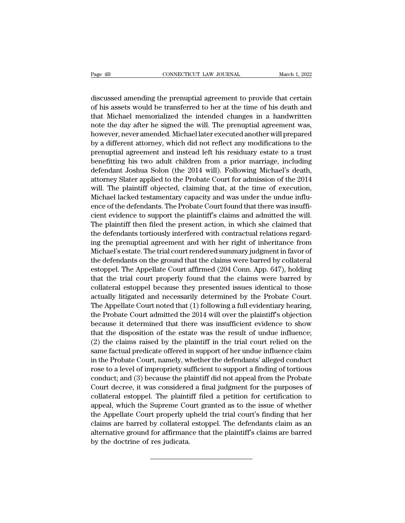Page 4B<br>
CONNECTICUT LAW JOURNAL<br>
discussed amending the prenuptial agreement to provide that certain<br>
of his assets would be transferred to her at the time of his death and<br>
that Michael memorialized the intended changes Page 4B<br>
connectricut LAW JOURNAL<br>
discussed amending the prenuptial agreement to provide that certain<br>
of his assets would be transferred to her at the time of his death and<br>
that Michael memorialized the intended changes Page 4B<br>
CONNECTICUT LAW JOURNAL<br>
March 1, 2022<br>
discussed amending the prenuptial agreement to provide that certain<br>
of his assets would be transferred to her at the time of his death and<br>
that Michael memorialized the in Page 4B<br>
connectricure LAW JOURNAL<br>
discussed amending the prenuptial agreement to provide that certain<br>
of his assets would be transferred to her at the time of his death and<br>
that Michael memorialized the intended change discussed amending the prenuptial agreement to provide that certain<br>of his assets would be transferred to her at the time of his death and<br>that Michael memorialized the intended changes in a handwritten<br>note the day after discussed amending the prenuptial agreement to provide that certain<br>of his assets would be transferred to her at the time of his death and<br>that Michael memorialized the intended changes in a handwritten<br>note the day after discussed amending the prenuptial agreement to provide that certain<br>of his assets would be transferred to her at the time of his death and<br>that Michael memorialized the intended changes in a handwritten<br>note the day after or nis assets would be transferred to ner at the time or nis death and<br>that Michael memorialized the intended changes in a handwritten<br>note the day after he signed the will. The prenuptial agreement was,<br>however, never ame that Michael memorialized the intended changes in a handwritten<br>note the day after he signed the will. The prenuptial agreement was,<br>however, never amended. Michael later executed another will prepared<br>by a different attor note the day after he signed the will. The prehuptial agreement was,<br>however, never amended. Michael later executed another will prepared<br>by a different attorney, which did not reflect any modifications to the<br>prenuptial a nowever, never amended. Michael later executed another will prepared<br>by a different attorney, which did not reflect any modifications to the<br>prenuptial agreement and instead left his residuary estate to a trust<br>benefitting by a different attorney, which did not reflect any modifications to the<br>prenuptial agreement and instead left his residuary estate to a trust<br>benefitting his two adult children from a prior marriage, including<br>defendant Jo prenuptial agreement and instead left his residuary estate to a trust<br>benefitting his two adult children from a prior marriage, including<br>defendant Joshua Solon (the 2014 will). Following Michael's death,<br>attorney Slater a behefitting his two adult children from a prior marriage, including<br>defendant Joshua Solon (the 2014 will). Following Michael's death,<br>attorney Slater applied to the Probate Court for admission of the 2014<br>will. The plaint derendant Josnua Solon (the 2014 Will). Following Michael's death,<br>attorney Slater applied to the Probate Court for admission of the 2014<br>will. The plaintiff objected, claiming that, at the time of execution,<br>Michael lacke attorney slater applied to the Probate Court for admission of the 2014<br>will. The plaintiff objected, claiming that, at the time of execution,<br>Michael lacked testamentary capacity and was under the undue influ-<br>ence of the will. The plaintiff objected, claiming that, at the time of execution,<br>Michael lacked testamentary capacity and was under the undue influ-<br>ence of the defendants. The Probate Court found that there was insuffi-<br>cient evide Michael lacked testamentary capacity and was under the undue influ-<br>ence of the defendants. The Probate Court found that there was insufficient evidence to support the plaintiff's claims and admitted the will.<br>The plainti ence of the defendants. The Probate Court found that there was insurn-<br>cient evidence to support the plaintiff's claims and admitted the will.<br>The plaintiff then filed the present action, in which she claimed that<br>the defe cient evidence to support the plaintiff s claims and admitted the will.<br>The plaintiff then filed the present action, in which she claimed that<br>the defendants tortiously interfered with contractual relations regard-<br>ing the The plaintif then filed the present action, in which she claimed that<br>the defendants tortiously interfered with contractual relations regard-<br>ing the prenuptial agreement and with her right of inheritance from<br>Michael's es the derendants tortiously interrered with contractual relations regarding the prenuptial agreement and with her right of inheritance from Michael's estate. The trial court rendered summary judgment in favor of the defendan ing the prenuptial agreement and with her right of inheritance from<br>Michael's estate. The trial court rendered summary judgment in favor of<br>the defendants on the ground that the claims were barred by collateral<br>estoppel. T Michael s estate. The trial court rendered summary judgment in ravor of<br>the defendants on the ground that the claims were barred by collateral<br>estoppel. The Appellate Court affirmed (204 Conn. App. 647), holding<br>that the t the derendants on the ground that the claims were barred by collateral<br>estoppel. The Appellate Court affirmed (204 Conn. App. 647), holding<br>that the trial court properly found that the claims were barred by<br>collateral esto estoppel. The Appellate Court ammed (204 Conn. App. 647), nolding<br>that the trial court properly found that the claims were barred by<br>collateral estoppel because they presented issues identical to those<br>actually litigated a that the trial court properly found that the claims were barred by<br>collateral estoppel because they presented issues identical to those<br>actually litigated and necessarily determined by the Probate Court.<br>The Appellate Cour conateral estoppel because they presented issues identical to those<br>actually litigated and necessarily determined by the Probate Court.<br>The Appellate Court noted that (1) following a full evidentiary hearing,<br>the Probate C actually illigated and necessarly determined by the Probate Court.<br>The Appellate Court noted that (1) following a full evidentiary hearing,<br>the Probate Court admitted the 2014 will over the plaintiff's objection<br>because it Ine Appenate Court noted that (1) following a run evidentiary nearing,<br>the Probate Court admitted the 2014 will over the plaintiff's objection<br>because it determined that there was insufficient evidence to show<br>that the dis the Probate Court admitted the 2014 will over the plaintin's objection<br>because it determined that there was insufficient evidence to show<br>that the disposition of the estate was the result of undue influence;<br>(2) the claims because it determined that there was insulficent evidence to show<br>that the disposition of the estate was the result of undue influence;<br>(2) the claims raised by the plaintiff in the trial court relied on the<br>same factual p that the disposition of the estate was the result of undue influence;<br>(2) the claims raised by the plaintiff in the trial court relied on the<br>same factual predicate offered in support of her undue influence claim<br>in the Pr ( $2$ ) the claims raised by the plaintiff in the trial court refled on the same factual predicate offered in support of her undue influence claim<br>in the Probate Court, namely, whether the defendants' alleged conduct<br>rose t same ractual predicate oriered in support of her undue influence claim<br>in the Probate Court, namely, whether the defendants' alleged conduct<br>rose to a level of impropriety sufficient to support a finding of tortious<br>conduc In the Probate Court, namely, whether the detendants alleged conduct<br>rose to a level of impropriety sufficient to support a finding of tortious<br>conduct; and (3) because the plaintiff did not appeal from the Probate<br>Court d rose to a level of impropriety sufficient to support a finding of tortious<br>conduct; and (3) because the plaintiff did not appeal from the Probate<br>Court decree, it was considered a final judgment for the purposes of<br>collate conduct; and (3) because the plaintiff did not appeal from the Probate<br>Court decree, it was considered a final judgment for the purposes of<br>collateral estoppel. The plaintiff filed a petition for certification to<br>appeal, w Court decree, it was considered a final judgment for the purposes of collateral estoppel. The plaintiff filed a petition for certification to appeal, which the Supreme Court granted as to the issue of whether the Appellate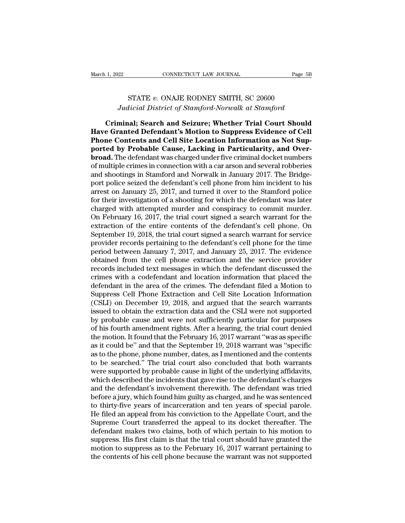# EXECUTE CONNECTICUT LAW JOURNAL Page 5<br>STATE *v.* ONAJE RODNEY SMITH, SC 20600<br>*Condensity of Stamford-Norwalk at Stamford Judicial District of Stamford-Norwall*<br> *Judicial District of Stamford-Norwalk at Stamford*<br> **Judicial District of Stamford-Norwalk at Stamford**<br> **Minal: Search and Seizure: Whether Trial Court Should**

<sup>1, 2022</sup> CONNECTICUT LAW JOURNAL Page 5B<br>
STATE v. ONAJE RODNEY SMITH, SC 20600<br> *Judicial District of Stamford-Norwalk at Stamford*<br> **Criminal; Search and Seizure; Whether Trial Court Should**<br> **e Granted Defendant's Moti Have Granted Defendant's Motion Indianally STATE** v. ONAJE RODNEY SMITH, SC 20600<br> *Hadicial District of Stamford-Norwalk at Stamford*<br> **Criminal; Search and Seizure; Whether Trial Court Should**<br> **Have Granted Defendant's Phone Contents and Seizure; Whether Trial Court Should<br>** *Pudicial District of Stamford-Norwalk at Stamford***<br>
<b>Phone Contents and Seizure; Whether Trial Court Should<br>
<b>Phone Contents and Cell Site Location Information as N ported by Probable Cause, Lacking in Particularity of Standard Criminal; Search and Seizure; Whether Trial Court Should Have Granted Defendant's Motion to Suppress Evidence of Cell Phone Contents and Cell Site Location In** Judicial District of Stamford-Norwalk at Stamford<br> **Criminal; Search and Seizure; Whether Trial Court Should**<br> **Have Granted Defendant's Motion to Suppress Evidence of Cell**<br> **Phone Contents and Cell Site Location Informat Criminal; Search and Seizure; Whether Trial Court Should Have Granted Defendant's Motion to Suppress Evidence of Cell Phone Contents and Cell Site Location Information as Not Supported by Probable Cause, Lacking in Partic** Criminal; Search and Seizure; Whether Trial Court Should<br>Have Granted Defendant's Motion to Suppress Evidence of Cell<br>Phone Contents and Cell Site Location Information as Not Sup-<br>ported by Probable Cause, Lacking in Parti Have Granted Defendant's Motion to Suppress Evidence of Cell<br>Phone Contents and Cell Site Location Information as Not Sup-<br>ported by Probable Cause, Lacking in Particularity, and Over-<br>broad. The defendant was charged unde **Phone Contents and Cell Site Location Information as Not Supported by Probable Cause, Lacking in Particularity, and Overbroad.** The defendant was charged under five criminal docket numbers of multiple crimes in connection ported by Probable Cause, Lacking in Particularity, and Over-<br>broad. The defendant was charged under five criminal docket numbers<br>of multiple crimes in connection with a car arson and several robberies<br>and shootings in Sta **broad.** The defendant was charged under five criminal docket numbers<br>of multiple crimes in connection with a car arson and several robberies<br>and shootings in Stamford and Norwalk in January 2017. The Bridge-<br>port police s of multiple crimes in connection with a car arson and several robberies<br>and shootings in Stamford and Norwalk in January 2017. The Bridge-<br>port police seized the defendant's cell phone from him incident to his<br>arrest on Ja and shootings in Stamford and Norwalk in January 2017. The Bridge-<br>port police seized the defendant's cell phone from him incident to his<br>arrest on January 25, 2017, and turned it over to the Stamford police<br>for their inve port police seized the defendant's cell phone from him incident to his<br>arrest on January 25, 2017, and turned it over to the Stamford police<br>for their investigation of a shooting for which the defendant was later<br>charged arrest on January 25, 2017, and turned it over to the Stamford police<br>for their investigation of a shooting for which the defendant was later<br>charged with attempted murder and conspiracy to commit murder.<br>On February 16, 2 for their investigation of a shooting for which the defendant was later<br>charged with attempted murder and conspiracy to commit murder.<br>On February 16, 2017, the trial court signed a search warrant for the<br>extraction of the charged with attempted murder and conspiracy to commit murder.<br>On February 16, 2017, the trial court signed a search warrant for the<br>extraction of the entire contents of the defendant's cell phone. On<br>September 19, 2018, t On February 16, 2017, the trial court signed a search warrant for the extraction of the entire contents of the defendant's cell phone. On September 19, 2018, the trial court signed a search warrant for service provider rec extraction of the entire contents of the defendant's cell phone. On<br>September 19, 2018, the trial court signed a search warrant for service<br>provider records pertaining to the defendant's cell phone for the time<br>period betw September 19, 2018, the trial court signed a search warrant for service<br>provider records pertaining to the defendant's cell phone for the time<br>period between January 7, 2017, and January 25, 2017. The evidence<br>obtained fr provider records pertaining to the defendant's cell phone for the time<br>period between January 7, 2017, and January 25, 2017. The evidence<br>obtained from the cell phone extraction and the service provider<br>records included te period between January 7, 2017, and January 25, 2017. The evidence<br>obtained from the cell phone extraction and the service provider<br>records included text messages in which the defendant discussed the<br>crimes with a codefend obtained from the cell phone extraction and the service provider<br>records included text messages in which the defendant discussed the<br>crimes with a codefendant and location information that placed the<br>defendant in the area records included text messages in which the defendant discussed the<br>crimes with a codefendant and location information that placed the<br>defendant in the area of the crimes. The defendant filed a Motion to<br>Suppress Cell Phon crimes with a codefendant and location information that placed the<br>defendant in the area of the crimes. The defendant filed a Motion to<br>Suppress Cell Phone Extraction and Cell Site Location Information<br>(CSLI) on December 1 defendant in the area of the crimes. The defendant filed a Motion to<br>Suppress Cell Phone Extraction and Cell Site Location Information<br>(CSLI) on December 19, 2018, and argued that the search warrants<br>issued to obtain the e Suppress Cell Phone Extraction and Cell Site Location Information (CSLI) on December 19, 2018, and argued that the search warrants issued to obtain the extraction data and the CSLI were not supported by probable cause and (CSLI) on December 19, 2018, and argued that the search warrants<br>issued to obtain the extraction data and the CSLI were not supported<br>by probable cause and were not sufficiently particular for purposes<br>of his fourth amendm issued to obtain the extraction data and the CSLI were not supported<br>by probable cause and were not sufficiently particular for purposes<br>of his fourth amendment rights. After a hearing, the trial court denied<br>the motion. I by probable cause and were not sufficiently particular for purposes<br>of his fourth amendment rights. After a hearing, the trial court denied<br>the motion. It found that the February 16, 2017 warrant "was as specific<br>as it cou of his fourth amendment rights. After a hearing, the trial court denied<br>the motion. It found that the February 16, 2017 warrant "was as specific<br>as it could be" and that the September 19, 2018 warrant was "specific<br>as to t the motion. It found that the February 16, 2017 warrant "was as specific<br>as it could be" and that the September 19, 2018 warrant was "specific<br>as to the phone, phone number, dates, as I mentioned and the contents<br>to be sea as it could be" and that the September 19, 2018 warrant was "specific<br>as to the phone, phone number, dates, as I mentioned and the contents<br>to be searched." The trial court also concluded that both warrants<br>were supported as to the phone, phone number, dates, as I mentioned and the contents<br>to be searched." The trial court also concluded that both warrants<br>were supported by probable cause in light of the underlying affidavits,<br>which describ to be searched." The trial court also concluded that both warrants<br>were supported by probable cause in light of the underlying affidavits,<br>which described the incidents that gave rise to the defendant's charges<br>and the def were supported by probable cause in light of the underlying affidavits,<br>which described the incidents that gave rise to the defendant's charges<br>and the defendant's involvement therewith. The defendant was tried<br>before a ju which described the incidents that gave rise to the defendant's charges<br>and the defendant's involvement therewith. The defendant was tried<br>before a jury, which found him guilty as charged, and he was sentenced<br>to thirty-fi and the defendant's involvement therewith. The defendant was tried<br>before a jury, which found him guilty as charged, and he was sentenced<br>to thirty-five years of incarceration and ten years of special parole.<br>He filed an a before a jury, which found him guilty as charged, and he was sentenced<br>to thirty-five years of incarceration and ten years of special parole.<br>He filed an appeal from his conviction to the Appellate Court, and the<br>Supreme C to thirty-five years of incarceration and ten years of special parole.<br>He filed an appeal from his conviction to the Appellate Court, and the<br>Supreme Court transferred the appeal to its docket thereafter. The<br>defendant mak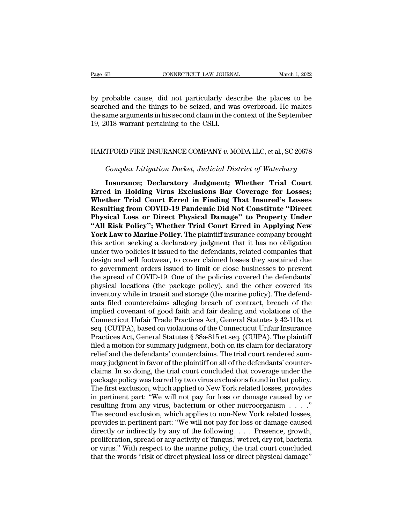Page 6B<br> **EXECUTE CONNECTICUT LAW JOURNAL**<br>
by probable cause, did not particularly describe the places to be<br>
searched and the things to be seized, and was overbroad. He makes<br>
the same arguments in his second claim in th Page 6B<br>
Searched and the things to be seized, and was overbroad. He makes<br>
the same arguments in his second claim in the context of the September<br>
10–2018 were proportioning to the CSUL Page 6B CONNECTICUT LAW JOURNAL March 1, 2022<br>by probable cause, did not particularly describe the places to be<br>searched and the things to be seized, and was overbroad. He makes<br>the same arguments in his second claim in th Page 6B<br>
connecticularly despendence to the CONNECTICUT LAW JOURNA<br>
2018 by probable cause, did not particularly despendence the Same arguments in his second claim in the c<br>
19, 2018 warrant pertaining to the CSLI. by probable cause, did not particularly describe the places to be<br>searched and the things to be seized, and was overbroad. He makes<br>the same arguments in his second claim in the context of the September<br>19, 2018 warrant pe ame arguments in his second claim in the context of the September<br> *Complex Litigation Docket, Judicial District of Waterbury*<br> **Complex Litigation Docket, Judicial District of Waterbury<br>
Insurance; Declaratory Judgment; W** 

**IFORD FIRE INSURANCE COMPANY v. MODA LLC, et al., SC 20678**<br> **Insurance; Declaratory Judgment; Whether Trial Court<br>
Exclusions Bar Coverage for Losses;<br>
Then Trial Court Enned in Finding That Incured's Losses;** HARTFORD FIRE INSURANCE COMPANY v. MODA LLC, et al., SC 20678<br> *Complex Litigation Docket, Judicial District of Waterbury*<br> **Insurance; Declaratory Judgment; Whether Trial Court**<br> **Erred in Holding Virus Exclusions Bar Cov** HARTFORD FIRE INSURANCE COMPANY v. MODA LLC, et al., SC 20678<br>
Complex Litigation Docket, Judicial District of Waterbury<br> **Insurance**; Declaratory Judgment; Whether Trial Court<br> **Erred in Holding Virus Exclusions Bar Cover Resulting From Covid And The Covid And The Covid And The Covid And The Covid Covid Covid Service Covid Service Service Service Service Service Service Service Service Service Service Service Service Service Service Servic** Complex Litigation Docket, Judicial District of Waterbury<br> **Physical Contract Physical Contract Physical Contract Physical Contract Physical Court Erred in Finding That Insured's Losses;<br>
<b>Physical Loss or Direct Physical The Universety State Policy, State and Bestiter of Material Court**<br> **Erred in Holding Virus Exclusions Bar Coverage for Losses;**<br> **Whether Trial Court Erred in Finding That Insured's Losses**<br> **Resulting from COVID-19 Pand** Insurance; Declaratory Judgment; Whether Trial Court<br>Erred in Holding Virus Exclusions Bar Coverage for Losses;<br>Whether Trial Court Erred in Finding That Insured's Losses<br>Resulting from COVID-19 Pandemic Did Not Constitute Erred in Holding Virus Exclusions Bar Coverage for Losses;<br>Whether Trial Court Erred in Finding That Insured's Losses<br>Resulting from COVID-19 Pandemic Did Not Constitute "Direct<br>Physical Loss or Direct Physical Damage" to Whether Trial Court Erred in Finding That Insured's Losses<br>Resulting from COVID-19 Pandemic Did Not Constitute "Direct<br>Physical Loss or Direct Physical Damage" to Property Under<br>"All Risk Policy"; Whether Trial Court Erred Resulting from COVID-19 Pandemic Did Not Constitute "Direct<br>Physical Loss or Direct Physical Damage" to Property Under<br>"All Risk Policy"; Whether Trial Court Erred in Applying New<br>York Law to Marine Policy. The plaintiff i **Physical Loss or Direct Physical Damage" to Property Under "All Risk Policy"; Whether Trial Court Erred in Applying New York Law to Marine Policy. The plaintiff insurance company brought this action seeking a declaratory** "All Risk Policy"; Whether Trial Court Erred in Applying New<br>York Law to Marine Policy. The plaintiff insurance company brought<br>this action seeking a declaratory judgment that it has no obligation<br>under two policies it iss **York Law to Marine Policy.** The plaintiff insurance company brought<br>this action seeking a declaratory judgment that it has no obligation<br>under two policies it issued to the defendants, related companies that<br>design and se this action seeking a declaratory judgment that it has no obligation<br>under two policies it issued to the defendants, related companies that<br>design and sell footwear, to cover claimed losses they sustained due<br>to government under two policies it issued to the defendants, related companies that<br>design and sell footwear, to cover claimed losses they sustained due<br>to government orders issued to limit or close businesses to prevent<br>the spread of design and sell footwear, to cover claimed losses they sustained due<br>to government orders issued to limit or close businesses to prevent<br>the spread of COVID-19. One of the policies covered the defendants'<br>physical location to government orders issued to limit or close businesses to prevent<br>the spread of COVID-19. One of the policies covered the defendants'<br>physical locations (the package policy), and the other covered its<br>inventory while in the spread of COVID-19. One of the policies covered the defendants'<br>physical locations (the package policy), and the other covered its<br>inventory while in transit and storage (the marine policy). The defend-<br>ants filed coun physical locations (the package policy), and the other covered its<br>inventory while in transit and storage (the marine policy). The defend-<br>ants filed counterclaims alleging breach of contract, breach of the<br>implied covenan inventory while in transit and storage (the marine policy). The defendants filed counterclaims alleging breach of contract, breach of the implied covenant of good faith and fair dealing and violations of the Connecticut Un ants filed counterclaims alleging breach of contract, breach of the<br>implied covenant of good faith and fair dealing and violations of the<br>Connecticut Unfair Trade Practices Act, General Statutes § 42-110a et<br>seq. (CUTPA), implied covenant of good faith and fair dealing and violations of the Connecticut Unfair Trade Practices Act, General Statutes § 42-110a et seq. (CUTPA), based on violations of the Connecticut Unfair Insurance Practices Ac Connecticut Unfair Trade Practices Act, General Statutes § 42-110a et<br>seq. (CUTPA), based on violations of the Connecticut Unfair Insurance<br>Practices Act, General Statutes § 38a-815 et seq. (CUIPA). The plaintiff<br>filed a m seq. (CUTPA), based on violations of the Connecticut Unfair Insurance<br>Practices Act, General Statutes § 38a-815 et seq. (CUIPA). The plaintiff<br>filed a motion for summary judgment, both on its claim for declaratory<br>relief a Practices Act, General Statutes § 38a-815 et seq. (CUIPA). The plaintiff<br>filed a motion for summary judgment, both on its claim for declaratory<br>relief and the defendants' counterclaims. The trial court rendered sum-<br>mary j filed a motion for summary judgment, both on its claim for declaratory<br>relief and the defendants' counterclaims. The trial court rendered sum-<br>mary judgment in favor of the plaintiff on all of the defendants' counter-<br>clai relief and the defendants' counterclaims. The trial court rendered summary judgment in favor of the plaintiff on all of the defendants' counter-<br>claims. In so doing, the trial court concluded that coverage under the<br>packag mary judgment in favor of the plaintiff on all of the defendants' counter-<br>claims. In so doing, the trial court concluded that coverage under the<br>package policy was barred by two virus exclusions found in that policy.<br>The claims. In so doing, the trial court concluded that coverage under the<br>package policy was barred by two virus exclusions found in that policy.<br>The first exclusion, which applied to New York related losses, provides<br>in pert package policy was barred by two virus exclusions found in that policy.<br>The first exclusion, which applied to New York related losses, provides<br>in pertinent part: "We will not pay for loss or damage caused by or<br>resulting The first exclusion, which applied to New York related losses, provides<br>in pertinent part: "We will not pay for loss or damage caused by or<br>resulting from any virus, bacterium or other microorganism . . . ."<br>The second exc in pertinent part: "We will not pay for loss or damage caused by or<br>resulting from any virus, bacterium or other microorganism . . . ."<br>The second exclusion, which applies to non-New York related losses,<br>provides in pertin resulting from any virus, bacterium or other microorganism . . . . ."<br>The second exclusion, which applies to non-New York related losses,<br>provides in pertinent part: "We will not pay for loss or damage caused<br>directly or i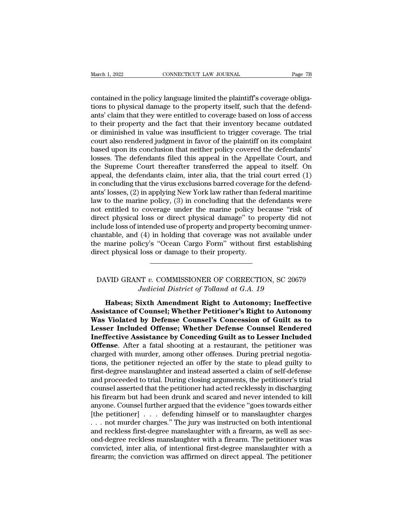March 1, 2022<br>
CONNECTICUT LAW JOURNAL<br>
Page 7B<br>
contained in the policy language limited the plaintiff's coverage obliga-<br>
tions to physical damage to the property itself, such that the defend-<br>
ants' claim that they were March 1, 2022<br>
CONNECTICUT LAW JOURNAL<br>
Contained in the policy language limited the plaintiff's coverage obliga-<br>
tions to physical damage to the property itself, such that the defend-<br>
ants' claim that they were entitled March 1, 2022<br>
connective to connect the solution of the plaintiff's coverage obligations<br>
contained in the policy language limited the plaintiff's coverage obligations<br>
to physical damage to the property itself, such that March 1, 2022 CONNECTICUT LAW JOURNAL Page 7B<br>
contained in the policy language limited the plaintiff's coverage obliga-<br>
tions to physical damage to the property itself, such that the defend-<br>
ants' claim that they were e contained in the policy language limited the plaintiff's coverage obligations to physical damage to the property itself, such that the defendants' claim that they were entitled to coverage based on loss of access to their contained in the policy language limited the plaintiff's coverage obligations to physical damage to the property itself, such that the defendants' claim that they were entitled to coverage based on loss of access<br>to their contained in the policy language limited the plaintiff's coverage obligations to physical damage to the property itself, such that the defendants' claim that they were entitled to coverage based on loss of access to their tions to physical damage to the property itself, such that the defendants' claim that they were entitled to coverage based on loss of access<br>to their property and the fact that their inventory became outdated<br>or diminished ants' claim that they were entitled to coverage based on loss of access<br>to their property and the fact that their inventory became outdated<br>or diminished in value was insufficient to trigger coverage. The trial<br>court also to their property and the fact that their inventory became outdated<br>or diminished in value was insufficient to trigger coverage. The trial<br>court also rendered judgment in favor of the plaintiff on its complaint<br>based upon or diminished in value was insufficient to trigger coverage. The trial<br>court also rendered judgment in favor of the plaintiff on its complaint<br>based upon its conclusion that neither policy covered the defendants'<br>losses. T court also rendered judgment in favor of the plaintiff on its complaint<br>based upon its conclusion that neither policy covered the defendants'<br>losses. The defendants filed this appeal in the Appellate Court, and<br>the Supreme based upon its conclusion that neither policy covered the defendants'<br>losses. The defendants filed this appeal in the Appellate Court, and<br>the Supreme Court thereafter transferred the appeal to itself. On<br>appeal, the defen losses. The defendants filed this appeal in the Appellate Court, and<br>the Supreme Court thereafter transferred the appeal to itself. On<br>appeal, the defendants claim, inter alia, that the trial court erred (1)<br>in concluding the Supreme Court thereafter transferred the appeal to itself. On<br>appeal, the defendants claim, inter alia, that the trial court erred (1)<br>in concluding that the virus exclusions barred coverage for the defend-<br>ants' losse appeal, the defendants claim, inter alia, that the trial court erred (1) in concluding that the virus exclusions barred coverage for the defendants' losses, (2) in applying New York law rather than federal maritime law to in concluding that the virus exclusions barred coverage for the defendants' losses, (2) in applying New York law rather than federal maritime law to the marine policy, (3) in concluding that the defendants were not entitle ants' losses, (2) in applying New York law rather than federal maritime<br>law to the marine policy, (3) in concluding that the defendants were<br>not entitled to coverage under the marine policy because "risk of<br>direct physical law to the marine policy, (3) in concluding that the d<br>not entitled to coverage under the marine policy be<br>direct physical loss or direct physical damage" to pi<br>include loss of intended use of property and property be<br>chan clude loss of intended use of property and property becoming unmer-<br>nantable, and (4) in holding that coverage was not available under<br>e marine policy's "Ocean Cargo Form" without first establishing<br>rect physical loss or d (4) In holding that coverage was not available undicy's "Ocean Cargo Form" without first establish<br>loss or damage to their property.<br>The District of Tolland at G.A. 19<br>Judicial District of Tolland at G.A. 19<br>**Sixth Amendme** 

<sup>1</sup> to their property.<br> **Habeas:** Sixth Amendment Right to Autonomy; Ineffective<br> **Habeas:** Sixth Amendment Right to Autonomy; Ineffective<br>
stance of Counsel; Whether Petitioner's Right to Autonomy<br>
Violated by Defense Cou DAVID GRANT v. COMMISSIONER OF CORRECTION, SC 20679<br>
Judicial District of Tolland at G.A. 19<br> **Habeas; Sixth Amendment Right to Autonomy; Ineffective**<br> **Assistance of Counsel; Whether Petitioner's Right to Autonomy**<br> **Was** DAVID GRANT v. COMMISSIONER OF CORRECTION, SC 20679<br>*Judicial District of Tolland at G.A. 19*<br>**Habeas: Sixth Amendment Right to Autonomy: Ineffective**<br>**Assistance of Counsel: Whether Petitioner's Right to Autonomy**<br>**Was Vi** DAVID GRANT *v.* COMMISSIONER OF CORRECTION, SC 20679<br>*Judicial District of Tolland at G.A. 19*<br>**Habeas; Sixth Amendment Right to Autonomy; Ineffective**<br>**Assistance of Counsel; Whether Petitioner's Right to Autonomy**<br>**Was** Judicial District of Tolland at G.A. 19<br>Judicial District of Tolland at G.A. 19<br>**Instrument Right to Autonomy; Ineffective**<br>**Assistance of Counsel; Whether Petitioner's Right to Autonomy**<br>Was Violated by Defense Counsel's **Example 19 Follows at 2011 12**<br> **Massistance of Counsel; Whether Petitioner's Right to Autonomy**<br> **Was Violated by Defense Counsel's Concession of Guilt as to<br>
Lesser Included Offense; Whether Defense Counsel Rendered<br>
In** Habeas; Sixth Amendment Right to Autonomy; Ineffective<br>Assistance of Counsel; Whether Petitioner's Right to Autonomy<br>Was Violated by Defense Counsel's Concession of Guilt as to<br>Lesser Included Offense; Whether Defense Coun Assistance of Counsel; Whether Petitioner's Right to Autonomy<br>Was Violated by Defense Counsel's Concession of Guilt as to<br>Lesser Included Offense; Whether Defense Counsel Rendered<br>Ineffective Assistance by Conceding Guilt Was Violated by Defense Counsel's Concession of Guilt as to<br>Lesser Included Offense; Whether Defense Counsel Rendered<br>Ineffective Assistance by Conceding Guilt as to Lesser Included<br>Offense. After a fatal shooting at a res Lesser Included Offense; Whether Defense Counsel Rendered<br>Ineffective Assistance by Conceding Guilt as to Lesser Included<br>Offense. After a fatal shooting at a restaurant, the petitioner was<br>charged with murder, among other **Ineffective Assistance by Conceding Guilt as to Lesser Included Offense**. After a fatal shooting at a restaurant, the petitioner was charged with murder, among other offenses. During pretrial negotiations, the petitioner **Offense**. After a fatal shooting at a restaurant, the petitioner was charged with murder, among other offenses. During pretrial negotiations, the petitioner rejected an offer by the state to plead guilty to first-degree m charged with murder, among other offenses. During pretrial negotiations, the petitioner rejected an offer by the state to plead guilty to first-degree manslaughter and instead asserted a claim of self-defense and proceeded tions, the petitioner rejected an offer by the state to plead guilty to<br>first-degree manslaughter and instead asserted a claim of self-defense<br>and proceeded to trial. During closing arguments, the petitioner's trial<br>counse first-degree manslaughter and instead asserted a claim of self-defense<br>and proceeded to trial. During closing arguments, the petitioner's trial<br>counsel asserted that the petitioner had acted recklessly in discharging<br>his f and proceeded to trial. During closing arguments, the petitioner's trial counsel asserted that the petitioner had acted recklessly in discharging his firearm but had been drunk and scared and never intended to kill anyone. counsel asserted that the petitioner had acted recklessly in discharging<br>his firearm but had been drunk and scared and never intended to kill<br>anyone. Counsel further argued that the evidence "goes towards either<br>[the petit his firearm but had been drunk and scared and never intended to kill<br>anyone. Counsel further argued that the evidence "goes towards either<br>[the petitioner]  $\ldots$  defending himself or to manslaughter charges<br> $\ldots$  not murd anyone. Counsel further argued that the evidence "goes towards either [the petitioner]  $\ldots$  defending himself or to manslaughter charges  $\ldots$  not murder charges." The jury was instructed on both intentional and reckless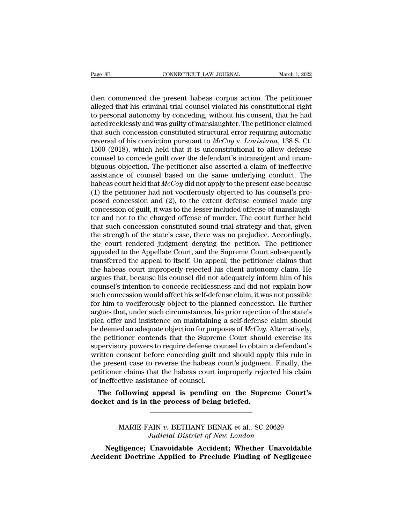Page 8B<br>
CONNECTICUT LAW JOURNAL March 1, 2022<br>
then commenced the present habeas corpus action. The petitioner<br>
alleged that his criminal trial counsel violated his constitutional right<br>
to personal autonomy by concoding Page 8B<br>
connective that Journal March 1, 2022<br>
then commenced the present habeas corpus action. The petitioner<br>
alleged that his criminal trial counsel violated his constitutional right<br>
to personal autonomy by conceding, Fage 8B<br>
connective Law Journal March 1, 2022<br>
then commenced the present habeas corpus action. The petitioner<br>
alleged that his criminal trial counsel violated his constitutional right<br>
to personal autonomy by conceding, Page 8B<br> **EXECUTE CONNECTICUT LAW JOURNAL** March 1, 2022<br>
then commenced the present habeas corpus action. The petitioner<br>
alleged that his criminal trial counsel violated his constitutional right<br>
to personal autonomy by then commenced the present habeas corpus action. The petitioner alleged that his criminal trial counsel violated his constitutional right to personal autonomy by conceding, without his consent, that he had acted recklessl then commenced the present habeas corpus action. The petitioner alleged that his criminal trial counsel violated his constitutional right to personal autonomy by conceding, without his consent, that he had acted recklessly then commenced the present habeas corpus action. The petitioner alleged that his criminal trial counsel violated his constitutional right to personal autonomy by conceding, without his consent, that he had acted recklessl alleged that his criminal trial counsel violated his constitutional right<br>to personal autonomy by conceding, without his consent, that he had<br>acted recklessly and was guilty of manslaughter. The petitioner claimed<br>that su to personal autonomy by conceding, without his consent, that he had<br>acted recklessly and was guilty of manslaughter. The petitioner claimed<br>that such concession constituted structural error requiring automatic<br>reversal of acted recklessly and was guilty of manslaughter. The petitioner claimed<br>that such concession constituted structural error requiring automatic<br>reversal of his conviction pursuant to  $McCoy$  v. Louisiana, 138 S. Ct.<br>1500 (201 that such concession constituted structural error requiring automatic<br>reversal of his conviction pursuant to  $McCoy$  v. Louisiana, 138 S. Ct.<br>1500 (2018), which held that it is unconstitutional to allow defense<br>counsel to c reversal of his conviction pursuant to  $McCoy$  v. Louisiana, 138 S. Ct.<br>1500 (2018), which held that it is unconstitutional to allow defense<br>counsel to concede guilt over the defendant's intransigent and unam-<br>biguous objec 1500 (2018), which held that it is unconstitutional to allow defense<br>counsel to concede guilt over the defendant's intransigent and unam-<br>biguous objection. The petitioner also asserted a claim of ineffective<br>assistance o counsel to concede guilt over the defendant's intransigent and unam-<br>biguous objection. The petitioner also asserted a claim of ineffective<br>assistance of counsel based on the same underlying conduct. The<br>habeas court held biguous objection. The petitioner also asserted a claim of ineffective<br>assistance of counsel based on the same underlying conduct. The<br>habeas court held that  $McCoy$  did not apply to the present case because<br>(1) the petitio assistance of counsel based on the same underlying conduct. The<br>habeas court held that  $McCoy$  did not apply to the present case because<br>(1) the petitioner had not vociferously objected to his counsel's pro-<br>posed concessio habeas court held that  $McCoy$  did not apply to the present case because (1) the petitioner had not vociferously objected to his counsel's proposed concession and (2), to the extent defense counsel made any concession of gu (1) the petitioner had not vociferously objected to his counsel's pro-<br>posed concession and (2), to the extent defense counsel made any<br>concession of guilt, it was to the lesser included offense of manslaugh-<br>ter and not t posed concession and (2), to the extent defense counsel made any<br>concession of guilt, it was to the lesser included offense of manslaugh-<br>ter and not to the charged offense of murder. The court further held<br>that such conce concession of guilt, it was to the lesser included offense of manslaughter and not to the charged offense of murder. The court further held that such concession constituted sound trial strategy and that, given the strength ter and not to the charged offense of murder. The court further held<br>that such concession constituted sound trial strategy and that, given<br>the strength of the state's case, there was no prejudice. Accordingly,<br>the court re that such concession constituted sound trial strategy and that, given<br>the strength of the state's case, there was no prejudice. Accordingly,<br>the court rendered judgment denying the petition. The petitioner<br>appealed to the the strength of the state's case, there was no prejudice. Accordingly,<br>the court rendered judgment denying the petition. The petitioner<br>appealed to the Appellate Court, and the Supreme Court subsequently<br>transferred the ap the court rendered judgment denying the petition. The petitioner<br>appealed to the Appellate Court, and the Supreme Court subsequently<br>transferred the appeal to itself. On appeal, the petitioner claims that<br>the habeas court appealed to the Appellate Court, and the Supreme Court subsequently<br>transferred the appeal to itself. On appeal, the petitioner claims that<br>the habeas court improperly rejected his client autonomy claim. He<br>argues that, be transferred the appeal to itself. On appeal, the petitioner claims that<br>the habeas court improperly rejected his client autonomy claim. He<br>argues that, because his counsel did not adequately inform him of his<br>counsel's int the habeas court improperly rejected his client autonomy claim. He argues that, because his counsel did not adequately inform him of his counsel's intention to concede recklessness and did not explain how such concession argues that, because his counsel did not adequately inform him of his counsel's intention to concede recklessness and did not explain how such concession would affect his self-defense claim, it was not possible for him to counsel's intention to concede recklessness and did not explain how<br>such concession would affect his self-defense claim, it was not possible<br>for him to vociferously object to the planned concession. He further<br>argues that such concession would affect his self-defense claim, it was not possible<br>for him to vociferously object to the planned concession. He further<br>argues that, under such circumstances, his prior rejection of the state's<br>plea o for him to vociferously object to the planned concession. He further argues that, under such circumstances, his prior rejection of the state's plea offer and insistence on maintaining a self-defense claim should be deemed argues that, under such circumstances, his prior rejection of the state's<br>plea offer and insistence on maintaining a self-defense claim should<br>be deemed an adequate objection for purposes of  $McCoy$ . Alternatively,<br>the petit plea offer and insistence on maintaining a self-defense claim should<br>be deemed an adequate objection for purposes of  $McCoy$ . Alternatively,<br>the petitioner contends that the Supreme Court should exercise its<br>supervisory powe be deemed an adequate objection for purp<br>the petitioner contends that the Suprem<br>supervisory powers to require defense countition consent before conceding guilt a<br>the present case to reverse the habeas counting<br>petitioner Following the performal interest of the suppleme Court should exercise its<br>pervisory powers to require defense counsel to obtain a defendant's<br>itten consent before conceding guilt and should apply this rule in<br>e present ca supervisory powers to require defense counser to obtain<br>written consent before conceding guilt and should appl<br>the present case to reverse the habeas court's judgmen<br>petitioner claims that the habeas court improperly rejec

Treams that the habeas court improperly rejected its claim<br>citive assistance of counsel.<br>**Sollowing appeal is pending on the Supreme Court's**<br>and is in the process of being briefed.<br>MARIE FAIN *v.* BETHANY BENAK et al., SC *Judicial is pending on the Supreme Co*<br> *Judicial District of New London*<br> *Judicial District of New London*<br> **Judicial District of New London**<br> **Unavoidable Accident; Whether Unavoid** 

Informal as in the process of being briefed.<br>
NARIE FAIN v. BETHANY BENAK et al., SC 20629<br> *Judicial District of New London*<br>
Negligence; Unavoidable Accident; Whether Unavoidable<br>
dent Doctrine Applied to Preclude Findin MARIE FAIN v. BETHANY BENAK et al., SC 20629<br>Judicial District of New London<br>**Negligence**; Unavoidable Accident; Whether Unavoidable<br>Accident Doctrine Applied to Preclude Finding of Negligence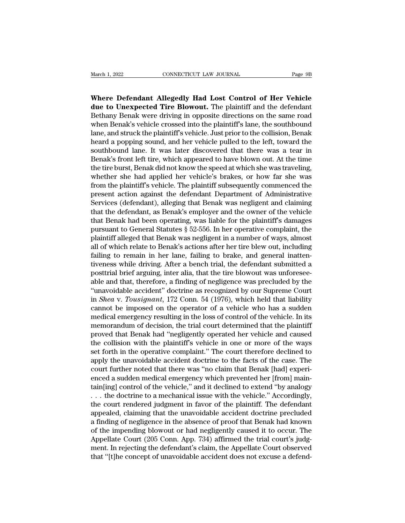March 1, 2022<br> **Where Defendant Allegedly Had Lost Control of Her Vehicle**<br> **Where Defendant Allegedly Had Lost Control of Her Vehicle**<br> **Rethany Bonak were diving in appealte directions on the same pood** March 1, 2022 CONNECTICUT LAW JOURNAL Page 9B<br> **Where Defendant Allegedly Had Lost Control of Her Vehicle**<br> **due to Unexpected Tire Blowout.** The plaintiff and the defendant<br>
Bethany Benak were driving in opposite directio March 1, 2022 CONNECTICUT LAW JOURNAL Page 9B<br> **Where Defendant Allegedly Had Lost Control of Her Vehicle**<br> **Supervisory Benak were driving in opposite directions on the same road**<br>
When Benak's vehicle crossed into the pl March 1, 2022 CONNECTICUT LAW JOURNAL Page 9B<br> **Where Defendant Allegedly Had Lost Control of Her Vehicle**<br> **due to Unexpected Tire Blowout.** The plaintiff and the defendant<br>
Bethany Benak were driving in opposite directio Where Defendant Allegedly Had Lost Control of Her Vehicle<br>due to Unexpected Tire Blowout. The plaintiff and the defendant<br>Bethany Benak were driving in opposite directions on the same road<br>when Benak's vehicle crossed into Where Defendant Allegedly Had Lost Control of Her Vehicle<br>due to Unexpected Tire Blowout. The plaintiff and the defendant<br>Bethany Benak were driving in opposite directions on the same road<br>when Benak's vehicle crossed into Where Defendant Allegedly Had Lost Control of Her Vehicle<br>due to Unexpected Tire Blowout. The plaintiff and the defendant<br>Bethany Benak were driving in opposite directions on the same road<br>when Benak's vehicle crossed into **due to Unexpected Tire Blowout.** The plaintiff and the defendant Bethany Benak were driving in opposite directions on the same road when Benak's vehicle crossed into the plaintiff's lane, the southbound lane, and struck t Bethany Benak were driving in opposite directions on the same road<br>when Benak's vehicle crossed into the plaintiff's lane, the southbound<br>lane, and struck the plaintiff's vehicle. Just prior to the collision, Benak<br>heard a when Benak's vehicle crossed into the plaintiff's lane, the southbound<br>lane, and struck the plaintiff's vehicle. Just prior to the collision, Benak<br>heard a popping sound, and her vehicle pulled to the left, toward the<br>sout lane, and struck the plaintiff's vehicle. Just prior to the collision, Benak<br>heard a popping sound, and her vehicle pulled to the left, toward the<br>southbound lane. It was later discovered that there was a tear in<br>Benak's f heard a popping sound, and her vehicle pulled to the left, toward the southbound lane. It was later discovered that there was a tear in Benak's front left tire, which appeared to have blown out. At the time the tire burst, southbound lane. It was later discovered that there was a tear in<br>Benak's front left tire, which appeared to have blown out. At the time<br>the tire burst, Benak did not know the speed at which she was traveling,<br>whether she Benak's front left tire, which appeared to have blown out. At the time<br>the tire burst, Benak did not know the speed at which she was traveling,<br>whether she had applied her vehicle's brakes, or how far she was<br>from the plai the tire burst, Benak did not know the speed at which she was traveling,<br>whether she had applied her vehicle's brakes, or how far she was<br>from the plaintiff's vehicle. The plaintiff subsequently commenced the<br>present actio whether she had applied her vehicle's brakes, or how far she was<br>from the plaintiff's vehicle. The plaintiff subsequently commenced the<br>present action against the defendant Department of Administrative<br>Services (defendant) from the plaintiff's vehicle. The plaintiff subsequently commenced the<br>present action against the defendant Department of Administrative<br>Services (defendant, alleging that Benak was negligent and claiming<br>that the defendan present action against the defendant Department of Administrative<br>Services (defendant), alleging that Benak was negligent and claiming<br>that the defendant, as Benak's employer and the owner of the vehicle<br>that Benak had bee Services (defendant), alleging that Benak was negligent and claiming<br>that the defendant, as Benak's employer and the owner of the vehicle<br>that Benak had been operating, was liable for the plaintiff's damages<br>pursuant to Ge that the defendant, as Benak's employer and the owner of the vehicle<br>that Benak had been operating, was liable for the plaintiff's damages<br>pursuant to General Statutes § 52-556. In her operative complaint, the<br>plaintiff al that Benak had been operating, was liable for the plaintiff's damages<br>pursuant to General Statutes  $\S$  52-556. In her operative complaint, the<br>plaintiff alleged that Benak was negligent in a number of ways, almost<br>all of pursuant to General Statutes § 52-556. In her operative complaint, the<br>plaintiff alleged that Benak was negligent in a number of ways, almost<br>all of which relate to Benak's actions after her tire blew out, including<br>failin plaintiff alleged that Benak was negligent in a number of ways, almost<br>all of which relate to Benak's actions after her tire blew out, including<br>failing to remain in her lane, failing to brake, and general inatten-<br>tivenes all of which relate to Benak's actions after her tire blew out, including<br>failing to remain in her lane, failing to brake, and general inatten-<br>tiveness while driving. After a bench trial, the defendant submitted a<br>posttri failing to remain in her lane, failing to brake, and general inattentiveness while driving. After a bench trial, the defendant submitted a posttrial brief arguing, inter alia, that the tire blowout was unforesee-<br>able and tiveness while driving. After a bench trial, the defendant submitted a<br>posttrial brief arguing, inter alia, that the tire blowout was unforesee-<br>able and that, therefore, a finding of negligence was precluded by the<br>"unavo posttrial brief arguing, inter alia, that the tire blowout was unforesee-<br>able and that, therefore, a finding of negligence was precluded by the<br>"unavoidable accident" doctrine as recognized by our Supreme Court<br>in *Shea* able and that, therefore, a finding of negligence was precluded by the<br>
"unavoidable accident" doctrine as recognized by our Supreme Court<br>
in *Shea* v. *Tousignant*, 172 Conn. 54 (1976), which held that liability<br>
cannot "unavoidable accident" doctrine as recognized by our Supreme Court<br>in *Shea v. Tousignant*, 172 Conn. 54 (1976), which held that liability<br>cannot be imposed on the operator of a vehicle who has a sudden<br>medical emergency in *Shea* v. *Tousignant*, 172 Conn. 54 (1976), which held that liability cannot be imposed on the operator of a vehicle who has a sudden medical emergency resulting in the loss of control of the vehicle. In its memorandum cannot be imposed on the operator of a vehicle who has a sudden<br>medical emergency resulting in the loss of control of the vehicle. In its<br>memorandum of decision, the trial court determined that the plaintiff<br>proved that Be medical emergency resulting in the loss of control of the vehicle. In its<br>memorandum of decision, the trial court determined that the plaintiff<br>proved that Benak had "negligently operated her vehicle and caused<br>the collisi memorandum of decision, the trial court determined that the plaintiff<br>proved that Benak had "negligently operated her vehicle and caused<br>the collision with the plaintiff's vehicle in one or more of the ways<br>set forth in th proved that Benak had "negligently operated her vehicle and caused<br>the collision with the plaintiff's vehicle in one or more of the ways<br>set forth in the operative complaint." The court therefore declined to<br>apply the unav the collision with the plaintiff's vehicle in one or more of the ways<br>set forth in the operative complaint." The court therefore declined to<br>apply the unavoidable accident doctrine to the facts of the case. The<br>court furth set forth in the operative complaint." The court therefore declined to<br>apply the unavoidable accident doctrine to the facts of the case. The<br>court further noted that there was "no claim that Benak [had] experi-<br>enced a sud apply the unavoidable accident doctrine to the facts of the case. The<br>court further noted that there was "no claim that Benak [had] experi-<br>enced a sudden medical emergency which prevented her [from] main-<br>tain[ing] contro court further noted that there was "no claim that Benak [had] experienced a sudden medical emergency which prevented her [from] maintain[ing] control of the vehicle," and it declined to extend "by analogy  $\dots$  the doctrin enced a sudden medical emergency which prevented her [from] maintain[ing] control of the vehicle," and it declined to extend "by analogy . . . the doctrine to a mechanical issue with the vehicle." Accordingly, the court re tain[ing] control of the vehicle," and it declined to extend "by analogy<br>
. . . the doctrine to a mechanical issue with the vehicle." Accordingly,<br>
the court rendered judgment in favor of the plaintiff. The defendant<br>
appe ... the doctrine to a mechanical issue with the vehicle." Accordingly,<br>the court rendered judgment in favor of the plaintiff. The defendant<br>appealed, claiming that the unavoidable accident doctrine precluded<br>a finding of n the court rendered judgment in favor of the plaintiff. The defendant<br>appealed, claiming that the unavoidable accident doctrine precluded<br>a finding of negligence in the absence of proof that Benak had known<br>of the impending